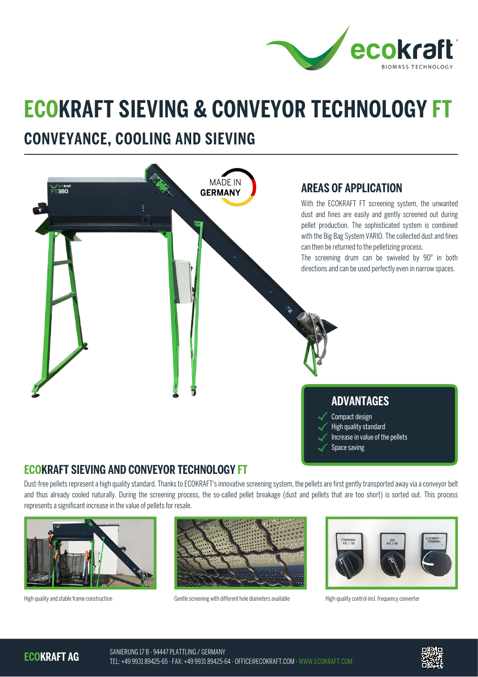

## **ECOKRAFT SIEVING & CONVEYOR TECHNOLOGY FT**

## **CONVEYANCE, COOLING AND SIEVING**



## **ECOKRAFT SIEVING AND CONVEYOR TECHNOLOGY FT**

Dust-free pellets represent a high quality standard. Thanks to ECOKRAFT's innovative screening system, the pellets are first gently transported away via a conveyor belt and thus already cooled naturally. During the screening process, the so-called pellet breakage (dust and pellets that are too short) is sorted out. This process represents a significant increase in the value of pellets for resale.





High quality and stable frame construction Gentle screening with different hole diameters available High-quality control incl. frequency converter



**ECOKRAFT AG**